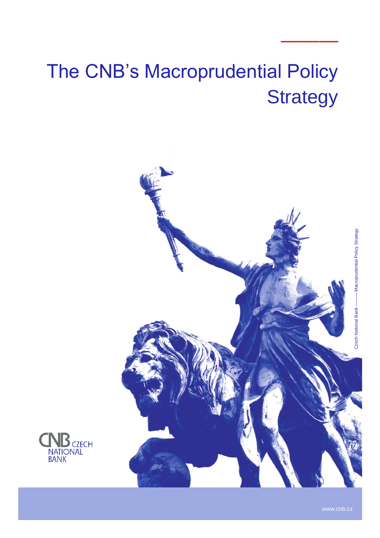# The CNB's Macroprudential Policy **Strategy**





———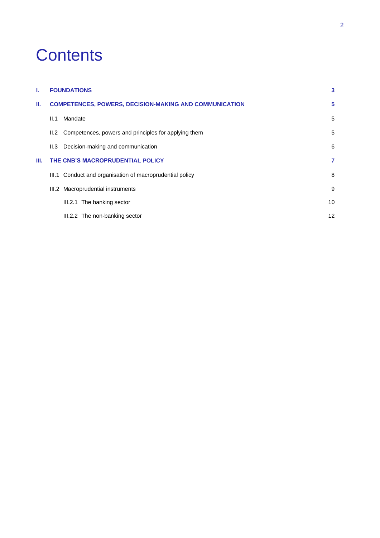# **Contents**

| L.                                                                  | <b>FOUNDATIONS</b> |                                                           |    |
|---------------------------------------------------------------------|--------------------|-----------------------------------------------------------|----|
| <b>COMPETENCES, POWERS, DECISION-MAKING AND COMMUNICATION</b><br>н. |                    |                                                           |    |
|                                                                     | II.1               | Mandate                                                   | 5  |
|                                                                     |                    | II.2 Competences, powers and principles for applying them | 5  |
|                                                                     | II.3               | Decision-making and communication                         | 6  |
| Ш.                                                                  |                    | THE CNB'S MACROPRUDENTIAL POLICY                          | 7  |
|                                                                     |                    | III.1 Conduct and organisation of macroprudential policy  | 8  |
|                                                                     |                    | III.2 Macroprudential instruments                         | 9  |
|                                                                     |                    | The banking sector<br>III.2.1                             | 10 |
|                                                                     |                    | III.2.2 The non-banking sector                            | 12 |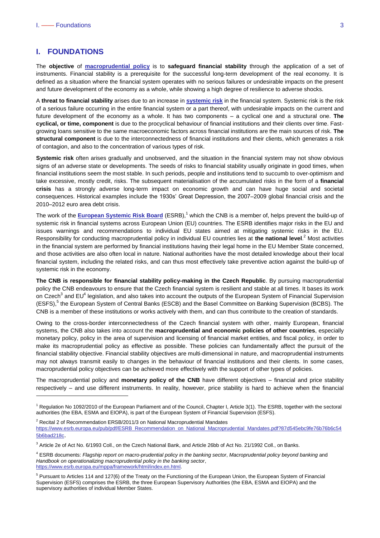# <span id="page-2-0"></span>**I. FOUNDATIONS**

The **objective** of **[macroprudential policy](https://www.cnb.cz/en/financial-stability/macroprudential-policy/)** is to **safeguard financial stability** through the application of a set of instruments. Financial stability is a prerequisite for the successful long-term development of the real economy. It is defined as a situation where the financial system operates with no serious failures or undesirable impacts on the present and future development of the economy as a whole, while showing a high degree of resilience to adverse shocks.

A **threat to financial stability** arises due to an increase in **[systemic risk](https://www.cnb.cz/en/financial-stability/thematic-articles-on-financial-stability/Financial-stability-systemic-risk-and-macroprudential-policy/)** in the financial system. Systemic risk is the risk of a serious failure occurring in the entire financial system or a part thereof, with undesirable impacts on the current and future development of the economy as a whole. It has two components – a cyclical one and a structural one. **The cyclical, or time, component** is due to the procyclical behaviour of financial institutions and their clients over time. Fastgrowing loans sensitive to the same macroeconomic factors across financial institutions are the main sources of risk. **The structural component** is due to the interconnectedness of financial institutions and their clients, which generates a risk of contagion, and also to the concentration of various types of risk.

**Systemic risk** often arises gradually and unobserved, and the situation in the financial system may not show obvious signs of an adverse state or developments. The seeds of risks to financial stability usually originate in good times, when financial institutions seem the most stable. In such periods, people and institutions tend to succumb to over-optimism and take excessive, mostly credit, risks. The subsequent materialisation of the accumulated risks in the form of a **financial crisis** has a strongly adverse long-term impact on economic growth and can have huge social and societal consequences. Historical examples include the 1930s' Great Depression, the 2007–2009 global financial crisis and the 2010–2012 euro area debt crisis.

The work of the [European Systemic Risk Board](http://www.esrb.europa.eu/) (ESRB),<sup>1</sup> which the CNB is a member of, helps prevent the build-up of systemic risk in financial systems across European Union (EU) countries. The ESRB identifies major risks in the EU and issues warnings and recommendations to individual EU states aimed at mitigating systemic risks in the EU. Responsibility for conducting macroprudential policy in individual EU countries lies at **the national level**. <sup>2</sup> Most activities in the financial system are performed by financial institutions having their legal home in the EU Member State concerned, and those activities are also often local in nature. National authorities have the most detailed knowledge about their local financial system, including the related risks, and can thus most effectively take preventive action against the build-up of systemic risk in the economy.

**The CNB is responsible for financial stability policy-making in the Czech Republic**. By pursuing macroprudential policy the CNB endeavours to ensure that the Czech financial system is resilient and stable at all times. It bases its work on Czech<sup>3</sup> and EU<sup>4</sup> legislation, and also takes into account the outputs of the European System of Financial Supervision (ESFS),<sup>5</sup> the European System of Central Banks (ESCB) and the Basel Committee on Banking Supervision (BCBS). The CNB is a member of these institutions or works actively with them, and can thus contribute to the creation of standards.

Owing to the cross-border interconnectedness of the Czech financial system with other, mainly European, financial systems, the CNB also takes into account the **macroprudential and economic policies of other countries**, especially monetary policy, policy in the area of supervision and licensing of financial market entities, and fiscal policy, in order to make its macroprudential policy as effective as possible. These policies can fundamentally affect the pursuit of the financial stability objective. Financial stability objectives are multi-dimensional in nature, and macroprudential instruments may not always transmit easily to changes in the behaviour of financial institutions and their clients. In some cases, macroprudential policy objectives can be achieved more effectively with the support of other types of policies.

The macroprudential policy and **monetary policy of the CNB** have different objectives – financial and price stability respectively – and use different instruments. In reality, however, price stability is hard to achieve when the financial -

 $2$  Recital 2 of Recommendation ERSB/2011/3 on National Macroprudential Mandates [https://www.esrb.europa.eu/pub/pdf/ESRB\\_Recommendation\\_on\\_National\\_Macroprudential\\_Mandates.pdf?87d545ebc9fe76b76b6c54](https://www.esrb.europa.eu/pub/pdf/ESRB_Recommendation_on_National_Macroprudential_Mandates.pdf?87d545ebc9fe76b76b6c545b6bad218c) [5b6bad218c](https://www.esrb.europa.eu/pub/pdf/ESRB_Recommendation_on_National_Macroprudential_Mandates.pdf?87d545ebc9fe76b76b6c545b6bad218c).

<sup>1</sup> Regulation No 1092/2010 of the European Parliament and of the Council, Chapter I, Article 3(1). The ESRB, together with the sectoral authorities (the EBA, ESMA and EIOPA), is part of the European System of Financial Supervision (ESFS).

<sup>3</sup> Article 2e of Act No. 6/1993 Coll., on the Czech National Bank, and Article 26bb of Act No. 21/1992 Coll., on Banks.

<sup>4</sup> ESRB documents: *Flagship report on macro-prudential policy in the banking sector*, *Macroprudential policy beyond banking* and *Handbook on operationalizing macroprudential policy in the banking sector*, [https://www.esrb.europa.eu/mppa/framework/html/index.en.html.](https://www.esrb.europa.eu/mppa/framework/html/index.en.html)

<sup>&</sup>lt;sup>5</sup> Pursuant to Articles 114 and 127(6) of the Treaty on the Functioning of the European Union, the European System of Financial Supervision (ESFS) comprises the ESRB, the three European Supervisory Authorities (the EBA, ESMA and EIOPA) and the supervisory authorities of individual Member States.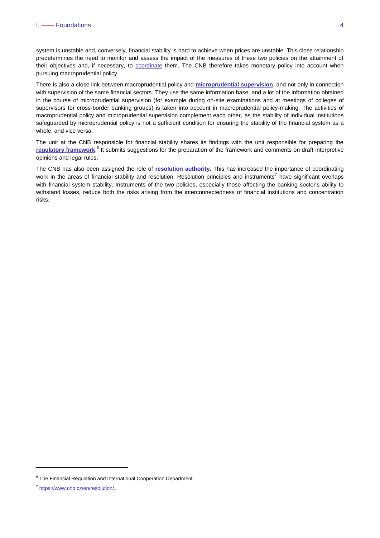system is unstable and, conversely, financial stability is hard to achieve when prices are unstable. This close relationship predetermines the need to monitor and assess the impact of the measures of these two policies on the attainment of their objectives and, if necessary, to [coordinate](https://www.cnb.cz/en/financial-stability/thematic-articles-on-financial-stability/The-interaction-of-monetary-and-macroprudential-policies-in-the-pursuit-of-the-central-banks-primary-objectives/) them. The CNB therefore takes monetary policy into account when pursuing macroprudential policy.

There is also a close link between macroprudential policy and **[microprudential supervision](https://www.cnb.cz/en/supervision-financial-market/)**, and not only in connection with supervision of the same financial sectors. They use the same information base, and a lot of the information obtained in the course of microprudential supervision (for example during on-site examinations and at meetings of colleges of supervisors for cross-border banking groups) is taken into account in macroprudential policy-making. The activities of macroprudential policy and microprudential supervision complement each other, as the stability of individual institutions safeguarded by microprudential policy is not a sufficient condition for ensuring the stability of the financial system as a whole, and vice versa.

The unit at the CNB responsible for financial stability shares its findings with the unit responsible for preparing the [regulatory framework](https://www.cnb.cz/en/supervision-financial-market/legislation/).<sup>6</sup> It submits suggestions for the preparation of the framework and comments on draft interpretive opinions and legal rules.

The CNB has also been assigned the role of **[resolution](https://www.cnb.cz/en/resolution/) authority**. This has increased the importance of coordinating work in the areas of financial stability and resolution. Resolution principles and instruments<sup>7</sup> have significant overlaps with financial system stability. Instruments of the two policies, especially those affecting the banking sector's ability to withstand losses, reduce both the risks arising from the interconnectedness of financial institutions and concentration risks.

 $\overline{a}$ 

<sup>&</sup>lt;sup>6</sup> The Financial Regulation and International Cooperation Department.

<sup>7</sup> [https://www.cnb.cz/en/resolution/.](https://www.cnb.cz/en/resolution/)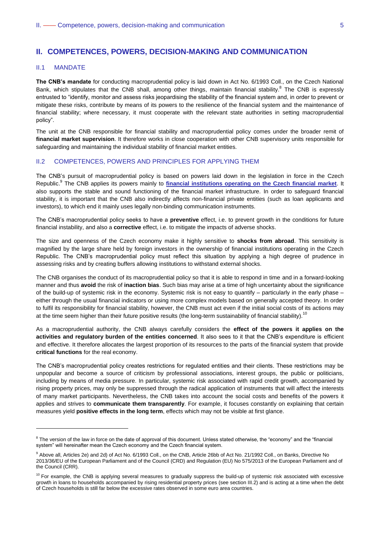# <span id="page-4-0"></span>**II. COMPETENCES, POWERS, DECISION-MAKING AND COMMUNICATION**

# <span id="page-4-1"></span>II.1 MANDATE

-

**The CNB's mandate** for conducting macroprudential policy is laid down in Act No. 6/1993 Coll., on the Czech National Bank, which stipulates that the CNB shall, among other things, maintain financial stability.<sup>8</sup> The CNB is expressly entrusted to "identify, monitor and assess risks jeopardising the stability of the financial system and, in order to prevent or mitigate these risks, contribute by means of its powers to the resilience of the financial system and the maintenance of financial stability; where necessary, it must cooperate with the relevant state authorities in setting macroprudential policy".

The unit at the CNB responsible for financial stability and macroprudential policy comes under the broader remit of **financial market supervision**. It therefore works in close cooperation with other CNB supervisory units responsible for safeguarding and maintaining the individual stability of financial market entities.

#### <span id="page-4-2"></span>II.2 COMPETENCES, POWERS AND PRINCIPLES FOR APPLYING THEM

The CNB's pursuit of macroprudential policy is based on powers laid down in the legislation in force in the Czech Republic. 9 The CNB applies its powers mainly to **[financial institutions operating on the Czech financial market](https://www.cnb.cz/en/supervision-financial-market/lists-registers/)**. It also supports the stable and sound functioning of the financial market infrastructure. In order to safeguard financial stability, it is important that the CNB also indirectly affects non-financial private entities (such as loan applicants and investors), to which end it mainly uses legally non-binding communication instruments.

The CNB's macroprudential policy seeks to have a **preventive** effect, i.e. to prevent growth in the conditions for future financial instability, and also a **corrective** effect, i.e. to mitigate the impacts of adverse shocks.

The size and openness of the Czech economy make it highly sensitive to **shocks from abroad**. This sensitivity is magnified by the large share held by foreign investors in the ownership of financial institutions operating in the Czech Republic. The CNB's macroprudential policy must reflect this situation by applying a high degree of prudence in assessing risks and by creating buffers allowing institutions to withstand external shocks.

The CNB organises the conduct of its macroprudential policy so that it is able to respond in time and in a forward-looking manner and thus **avoid** the risk of **inaction bias**. Such bias may arise at a time of high uncertainty about the significance of the build-up of systemic risk in the economy. Systemic risk is not easy to quantify – particularly in the early phase – either through the usual financial indicators or using more complex models based on generally accepted theory. In order to fulfil its responsibility for financial stability, however, the CNB must act even if the initial social costs of its actions may at the time seem higher than their future positive results (the long-term sustainability of financial stability).<sup>10</sup>

As a macroprudential authority, the CNB always carefully considers the **effect of the powers it applies on the activities and regulatory burden of the entities concerned**. It also sees to it that the CNB's expenditure is efficient and effective. It therefore allocates the largest proportion of its resources to the parts of the financial system that provide **critical functions** for the real economy.

The CNB's macroprudential policy creates restrictions for regulated entities and their clients. These restrictions may be unpopular and become a source of criticism by professional associations, interest groups, the public or politicians, including by means of media pressure. In particular, systemic risk associated with rapid credit growth, accompanied by rising property prices, may only be suppressed through the radical application of instruments that will affect the interests of many market participants. Nevertheless, the CNB takes into account the social costs and benefits of the powers it applies and strives to **communicate them transparently**. For example, it focuses constantly on explaining that certain measures yield **positive effects in the long term**, effects which may not be visible at first glance.

 $8$  The version of the law in force on the date of approval of this document. Unless stated otherwise, the "economy" and the "financial system" will hereinafter mean the Czech economy and the Czech financial system.

<sup>&</sup>lt;sup>9</sup> Above all, Articles 2e) and 2d) of Act No. 6/1993 Coll., on the CNB, Article 26bb of Act No. 21/1992 Coll., on Banks, Directive No 2013/36/EU of the European Parliament and of the Council (CRD) and Regulation (EU) No 575/2013 of the European Parliament and of the Council (CRR).

<sup>&</sup>lt;sup>10</sup> For example, the CNB is applying several measures to gradually suppress the build-up of systemic risk associated with excessive growth in loans to households accompanied by rising residential property prices (see section III.2) and is acting at a time when the debt of Czech households is still far below the excessive rates observed in some euro area countries.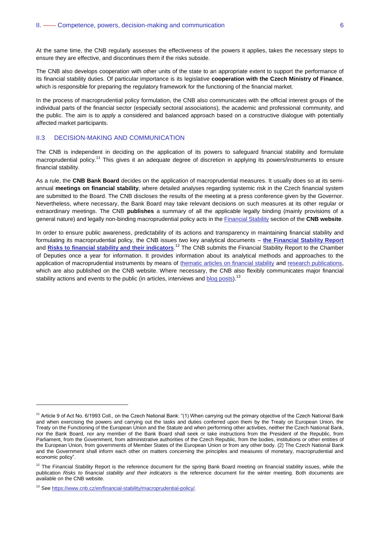At the same time, the CNB regularly assesses the effectiveness of the powers it applies, takes the necessary steps to ensure they are effective, and discontinues them if the risks subside.

The CNB also develops cooperation with other units of the state to an appropriate extent to support the performance of its financial stability duties. Of particular importance is its legislative **cooperation with the Czech Ministry of Finance**, which is responsible for preparing the regulatory framework for the functioning of the financial market.

In the process of macroprudential policy formulation, the CNB also communicates with the official interest groups of the individual parts of the financial sector (especially sectoral associations), the academic and professional community, and the public. The aim is to apply a considered and balanced approach based on a constructive dialogue with potentially affected market participants.

## <span id="page-5-0"></span>II.3 DECISION-MAKING AND COMMUNICATION

The CNB is independent in deciding on the application of its powers to safeguard financial stability and formulate macroprudential policy.<sup>11</sup> This gives it an adequate degree of discretion in applying its powers/instruments to ensure financial stability.

As a rule, the **CNB Bank Board** decides on the application of macroprudential measures. It usually does so at its semiannual **meetings on financial stability**, where detailed analyses regarding systemic risk in the Czech financial system are submitted to the Board. The CNB discloses the results of the meeting at a press conference given by the Governor. Nevertheless, where necessary, the Bank Board may take relevant decisions on such measures at its other regular or extraordinary meetings. The CNB **publishes** a summary of all the applicable legally binding (mainly provisions of a general nature) and legally non-binding macroprudential policy acts in the [Financial Stability](https://www.cnb.cz/en/financial-stability/) section of the **CNB website**.

In order to ensure public awareness, predictability of its actions and transparency in maintaining financial stability and formulating its macroprudential policy, the CNB issues two key analytical documents – **[the Financial Stability Report](https://www.cnb.cz/en/financial-stability/fs-reports/)** and **[Risks to financial stability and their indicators](https://www.cnb.cz/en/financial-stability/risks-to-financial-stability-and-their-indicators/)**.<sup>12</sup> The CNB submits the Financial Stability Report to the Chamber of Deputies once a year for information. It provides information about its analytical methods and approaches to the application of macroprudential instruments by means of [thematic articles on financial stability](https://www.cnb.cz/en/financial-stability/thematic-articles-on-financial-stability/The-interaction-of-monetary-and-macroprudential-policies-in-the-pursuit-of-the-central-banks-primary-objectives/) and [research publications,](https://www.cnb.cz/en/economic-research/research-publications/) which are also published on the CNB website. Where necessary, the CNB also flexibly communicates major financial stability actions and events to the public (in articles, interviews and [blog posts\)](https://www.cnb.cz/en/about_cnb/cnblog/).<sup>13</sup>

-

<sup>&</sup>lt;sup>11</sup> Article 9 of Act No. 6/1993 Coll., on the Czech National Bank: "(1) When carrying out the primary objective of the Czech National Bank and when exercising the powers and carrying out the tasks and duties conferred upon them by the Treaty on European Union, the Treaty on the Functioning of the European Union and the Statute and when performing other activities, neither the Czech National Bank, nor the Bank Board, nor any member of the Bank Board shall seek or take instructions from the President of the Republic, from Parliament, from the Government, from administrative authorities of the Czech Republic, from the bodies, institutions or other entities of the European Union, from governments of Member States of the European Union or from any other body. (2) The Czech National Bank and the Government shall inform each other on matters concerning the principles and measures of monetary, macroprudential and economic policy".

 $12$  The Financial Stability Report is the reference document for the spring Bank Board meeting on financial stability issues, while the publication *Risks to financial stability and their indicators* is the reference document for the winter meeting. Both documents are available on the CNB website.

<sup>13</sup> See [https://www.cnb.cz/en/financial-stability/macroprudential-policy/.](https://www.cnb.cz/en/financial-stability/macroprudential-policy/)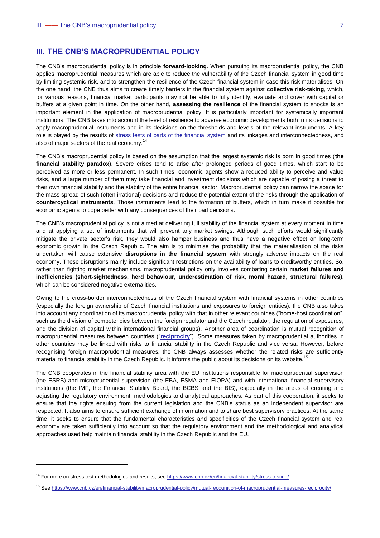<span id="page-6-0"></span>The CNB's macroprudential policy is in principle **forward-looking**. When pursuing its macroprudential policy, the CNB applies macroprudential measures which are able to reduce the vulnerability of the Czech financial system in good time by limiting systemic risk, and to strengthen the resilience of the Czech financial system in case this risk materialises. On the one hand, the CNB thus aims to create timely barriers in the financial system against **collective risk-taking**, which, for various reasons, financial market participants may not be able to fully identify, evaluate and cover with capital or buffers at a given point in time. On the other hand, **assessing the resilience** of the financial system to shocks is an important element in the application of macroprudential policy. It is particularly important for systemically important institutions. The CNB takes into account the level of resilience to adverse economic developments both in its decisions to apply macroprudential instruments and in its decisions on the thresholds and levels of the relevant instruments. A key role is played by the results of [stress tests of parts of the financial system](https://www.cnb.cz/en/financial-stability/stress-testing/) and its linkages and interconnectedness, and also of major sectors of the real economy.<sup>14</sup>

The CNB's macroprudential policy is based on the assumption that the largest systemic risk is born in good times (**the financial stability paradox**). Severe crises tend to arise after prolonged periods of good times, which start to be perceived as more or less permanent. In such times, economic agents show a reduced ability to perceive and value risks, and a large number of them may take financial and investment decisions which are capable of posing a threat to their own financial stability and the stability of the entire financial sector. Macroprudential policy can narrow the space for the mass spread of such (often irrational) decisions and reduce the potential extent of the risks through the application of **countercyclical instruments**. Those instruments lead to the formation of buffers, which in turn make it possible for economic agents to cope better with any consequences of their bad decisions.

The CNB's macroprudential policy is not aimed at delivering full stability of the financial system at every moment in time and at applying a set of instruments that will prevent any market swings. Although such efforts would significantly mitigate the private sector's risk, they would also hamper business and thus have a negative effect on long-term economic growth in the Czech Republic. The aim is to minimise the probability that the materialisation of the risks undertaken will cause extensive **disruptions in the financial system** with strongly adverse impacts on the real economy. These disruptions mainly include significant restrictions on the availability of loans to creditworthy entities. So, rather than fighting market mechanisms, macroprudential policy only involves combating certain **market failures and inefficiencies (short-sightedness, herd behaviour, underestimation of risk, moral hazard, structural failures)**, which can be considered negative externalities.

Owing to the cross-border interconnectedness of the Czech financial system with financial systems in other countries (especially the foreign ownership of Czech financial institutions and exposures to foreign entities), the CNB also takes into account any coordination of its macroprudential policy with that in other relevant countries ("home-host coordination", such as the division of competencies between the foreign regulator and the Czech regulator, the regulation of exposures, and the division of capital within international financial groups). Another area of coordination is mutual recognition of macroprudential measures between countries ("**[reciprocity](https://www.cnb.cz/en/financial-stability/macroprudential-policy/mutual-recognition-of-macroprudential-measures-reciprocity/)**"). Some measures taken by macroprudential authorities in other countries may be linked with risks to financial stability in the Czech Republic and vice versa. However, before recognising foreign macroprudential measures, the CNB always assesses whether the related risks are sufficiently material to financial stability in the Czech Republic. It informs the public about its decisions on its website.<sup>15</sup>

The CNB cooperates in the financial stability area with the EU institutions responsible for macroprudential supervision (the ESRB) and microprudential supervision (the EBA, ESMA and EIOPA) and with international financial supervisory institutions (the IMF, the Financial Stability Board, the BCBS and the BIS), especially in the areas of creating and adjusting the regulatory environment, methodologies and analytical approaches. As part of this cooperation, it seeks to ensure that the rights ensuing from the current legislation and the CNB's status as an independent supervisor are respected. It also aims to ensure sufficient exchange of information and to share best supervisory practices. At the same time, it seeks to ensure that the fundamental characteristics and specificities of the Czech financial system and real economy are taken sufficiently into account so that the regulatory environment and the methodological and analytical approaches used help maintain financial stability in the Czech Republic and the EU.

-

<sup>&</sup>lt;sup>14</sup> For more on stress test methodologies and results, see <https://www.cnb.cz/en/financial-stability/stress-testing/>.

<sup>&</sup>lt;sup>15</sup> See<https://www.cnb.cz/en/financial-stability/macroprudential-policy/mutual-recognition-of-macroprudential-measures-reciprocity/>.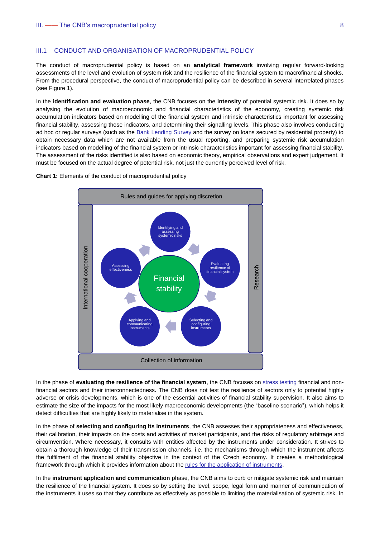### <span id="page-7-0"></span>III.1 CONDUCT AND ORGANISATION OF MACROPRUDENTIAL POLICY

The conduct of macroprudential policy is based on an **analytical framework** involving regular forward-looking assessments of the level and evolution of system risk and the resilience of the financial system to macrofinancial shocks. From the procedural perspective, the conduct of macroprudential policy can be described in several interrelated phases (see Figure 1).

In the **identification and evaluation phase**, the CNB focuses on the **intensity** of potential systemic risk. It does so by analysing the evolution of macroeconomic and financial characteristics of the economy, creating systemic risk accumulation indicators based on modelling of the financial system and intrinsic characteristics important for assessing financial stability, assessing those indicators, and determining their signalling levels. This phase also involves conducting ad hoc or regular surveys (such as the [Bank Lending Survey](https://www.cnb.cz/en/statistics/bank-lending-survey/) and the survey on loans secured by residential property) to obtain necessary data which are not available from the usual reporting, and preparing systemic risk accumulation indicators based on modelling of the financial system or intrinsic characteristics important for assessing financial stability. The assessment of the risks identified is also based on economic theory, empirical observations and expert judgement. It must be focused on the actual degree of potential risk, not just the currently perceived level of risk.

**Chart 1:** Elements of the conduct of macroprudential policy



In the phase of **evaluating the resilience of the financial system**, the CNB focuses o[n stress testing](https://www.cnb.cz/en/financial-stability/stress-testing/) financial and nonfinancial sectors and their interconnectedness**.** The CNB does not test the resilience of sectors only to potential highly adverse or crisis developments, which is one of the essential activities of financial stability supervision. It also aims to estimate the size of the impacts for the most likely macroeconomic developments (the "baseline scenario"), which helps it detect difficulties that are highly likely to materialise in the system.

In the phase of **selecting and configuring its instruments**, the CNB assesses their appropriateness and effectiveness, their calibration, their impacts on the costs and activities of market participants, and the risks of regulatory arbitrage and circumvention. Where necessary, it consults with entities affected by the instruments under consideration. It strives to obtain a thorough knowledge of their transmission channels, i.e. the mechanisms through which the instrument affects the fulfilment of the financial stability objective in the context of the Czech economy. It creates a methodological framework through which it provides information about the [rules for the application of instruments.](https://www.cnb.cz/en/financial-stability/thematic-articles-on-financial-stability/The-interaction-of-monetary-and-macroprudential-policies-in-the-pursuit-of-the-central-banks-primary-objectives/)

In the **instrument application and communication** phase, the CNB aims to curb or mitigate systemic risk and maintain the resilience of the financial system. It does so by setting the level, scope, legal form and manner of communication of the instruments it uses so that they contribute as effectively as possible to limiting the materialisation of systemic risk. In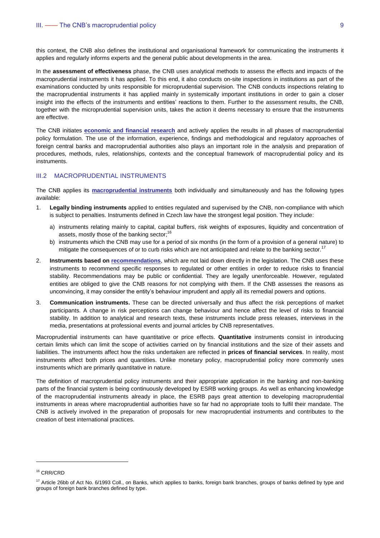this context, the CNB also defines the institutional and organisational framework for communicating the instruments it applies and regularly informs experts and the general public about developments in the area.

In the **assessment of effectiveness** phase, the CNB uses analytical methods to assess the effects and impacts of the macroprudential instruments it has applied. To this end, it also conducts on-site inspections in institutions as part of the examinations conducted by units responsible for microprudential supervision. The CNB conducts inspections relating to the macroprudential instruments it has applied mainly in systemically important institutions in order to gain a closer insight into the effects of the instruments and entities' reactions to them. Further to the assessment results, the CNB, together with the microprudential supervision units, takes the action it deems necessary to ensure that the instruments are effective.

The CNB initiates **[economic and financial research](https://www.cnb.cz/en/economic-research/research-publications/)** and actively applies the results in all phases of macroprudential policy formulation. The use of the information, experience, findings and methodological and regulatory approaches of foreign central banks and macroprudential authorities also plays an important role in the analysis and preparation of procedures, methods, rules, relationships, contexts and the conceptual framework of macroprudential policy and its instruments.

### <span id="page-8-0"></span>III.2 MACROPRUDENTIAL INSTRUMENTS

The CNB applies its **[macroprudential instruments](https://www.cnb.cz/en/financial-stability/macroprudential-policy/)** both individually and simultaneously and has the following types available:

- 1. **Legally binding instruments** applied to entities regulated and supervised by the CNB, non-compliance with which is subject to penalties. Instruments defined in Czech law have the strongest legal position. They include:
	- a) instruments relating mainly to capital, capital buffers, risk weights of exposures, liquidity and concentration of assets, mostly those of the banking sector; $16$
	- b) instruments which the CNB may use for a period of six months (in the form of a provision of a general nature) to mitigate the consequences of or to curb risks which are not anticipated and relate to the banking sector.<sup>17</sup>
- 2. **Instruments based on [recommendations](https://www.cnb.cz/en/financial-stability/macroprudential-policy/recommendation-limits-applicable-to-mortgage-loans/)**, which are not laid down directly in the legislation. The CNB uses these instruments to recommend specific responses to regulated or other entities in order to reduce risks to financial stability. Recommendations may be public or confidential. They are legally unenforceable. However, regulated entities are obliged to give the CNB reasons for not complying with them. If the CNB assesses the reasons as unconvincing, it may consider the entity's behaviour imprudent and apply all its remedial powers and options.
- 3. **Communication instruments.** These can be directed universally and thus affect the risk perceptions of market participants. A change in risk perceptions can change behaviour and hence affect the level of risks to financial stability. In addition to analytical and research texts, these instruments include press releases, interviews in the media, presentations at professional events and journal articles by CNB representatives.

Macroprudential instruments can have quantitative or price effects. **Quantitative** instruments consist in introducing certain limits which can limit the scope of activities carried on by financial institutions and the size of their assets and liabilities. The instruments affect how the risks undertaken are reflected in **prices of financial services**. In reality, most instruments affect both prices and quantities. Unlike monetary policy, macroprudential policy more commonly uses instruments which are primarily quantitative in nature.

The definition of macroprudential policy instruments and their appropriate application in the banking and non-banking parts of the financial system is being continuously developed by ESRB working groups. As well as enhancing knowledge of the macroprudential instruments already in place, the ESRB pays great attention to developing macroprudential instruments in areas where macroprudential authorities have so far had no appropriate tools to fulfil their mandate. The CNB is actively involved in the preparation of proposals for new macroprudential instruments and contributes to the creation of best international practices.

-

<sup>&</sup>lt;sup>16</sup> CRR/CRD

<sup>&</sup>lt;sup>17</sup> Article 26bb of Act No. 6/1993 Coll., on Banks, which applies to banks, foreign bank branches, groups of banks defined by type and groups of foreign bank branches defined by type.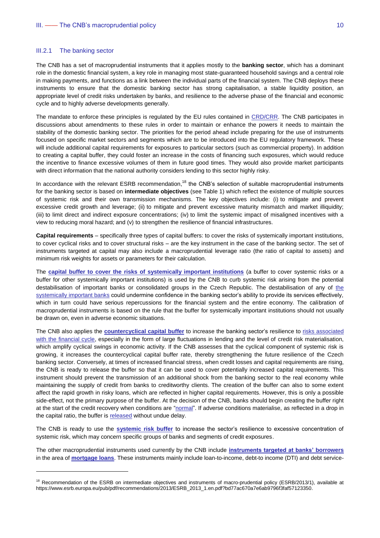#### <span id="page-9-0"></span>III.2.1 The banking sector

 $\overline{a}$ 

The CNB has a set of macroprudential instruments that it applies mostly to the **banking sector**, which has a dominant role in the domestic financial system, a key role in managing most state-guaranteed household savings and a central role in making payments, and functions as a link between the individual parts of the financial system. The CNB deploys these instruments to ensure that the domestic banking sector has strong capitalisation, a stable liquidity position, an appropriate level of credit risks undertaken by banks, and resilience to the adverse phase of the financial and economic cycle and to highly adverse developments generally.

The mandate to enforce these principles is regulated by the EU rules contained in [CRD/CRR.](https://www.cnb.cz/en/faq/FAQs-the-Capital-Requirements-Directive-CRD-IV-and-the-Capital-Requirements-Regulation-CRR/) The CNB participates in discussions about amendments to these rules in order to maintain or enhance the powers it needs to maintain the stability of the domestic banking sector. The priorities for the period ahead include preparing for the use of instruments focused on specific market sectors and segments which are to be introduced into the EU regulatory framework. These will include additional capital requirements for exposures to particular sectors (such as commercial property). In addition to creating a capital buffer, they could foster an increase in the costs of financing such exposures, which would reduce the incentive to finance excessive volumes of them in future good times. They would also provide market participants with direct information that the national authority considers lending to this sector highly risky.

In accordance with the relevant ESRB recommendation,<sup>18</sup> the CNB's selection of suitable macroprudential instruments for the banking sector is based on **intermediate objectives** (see Table 1) which reflect the existence of multiple sources of systemic risk and their own transmission mechanisms. The key objectives include: (i) to mitigate and prevent excessive credit growth and leverage; (ii) to mitigate and prevent excessive maturity mismatch and market illiquidity; (iii) to limit direct and indirect exposure concentrations; (iv) to limit the systemic impact of misaligned incentives with a view to reducing moral hazard; and (v) to strengthen the resilience of financial infrastructures.

**Capital requirements** – specifically three types of capital buffers: to cover the risks of systemically important institutions, to cover cyclical risks and to cover structural risks – are the key instrument in the case of the banking sector. The set of instruments targeted at capital may also include a macroprudential leverage ratio (the ratio of capital to assets) and minimum risk weights for assets or parameters for their calculation.

The **[capital buffer to cover the risks of systemically important institutions](https://www.cnb.cz/en/financial-stability/macroprudential-policy/the-systemic-risk-buffer/)** (a buffer to cover systemic risks or a buffer for other systemically important institutions) is used by the CNB to curb systemic risk arising from the potential destabilisation of important banks or consolidated groups in the Czech Republic. The destabilisation of any of [the](https://www.cnb.cz/en/financial-stability/thematic-articles-on-financial-stability/An-Additional-capital-requirements-based-on-the-domestic-systemic-importance-of-a-bank/)  [systemically important banks](https://www.cnb.cz/en/financial-stability/thematic-articles-on-financial-stability/An-Additional-capital-requirements-based-on-the-domestic-systemic-importance-of-a-bank/) could undermine confidence in the banking sector's ability to provide its services effectively, which in turn could have serious repercussions for the financial system and the entire economy. The calibration of macroprudential instruments is based on the rule that the buffer for systemically important institutions should not usually be drawn on, even in adverse economic situations.

The CNB also applies the **[countercyclical capital buffer](https://www.cnb.cz/en/financial-stability/macroprudential-policy/the-countercyclical-capital-buffer/)** to increase the banking sector's resilience to [risks associated](https://www.cnb.cz/en/financial-stability/thematic-articles-on-financial-stability/The-countercyclical-capital-buffer-in-the-Czech-Republic/)  [with the financial cycle,](https://www.cnb.cz/en/financial-stability/thematic-articles-on-financial-stability/The-countercyclical-capital-buffer-in-the-Czech-Republic/) especially in the form of large fluctuations in lending and the level of credit risk materialisation, which amplify cyclical swings in economic activity. If the CNB assesses that the cyclical component of systemic risk is growing, it increases the countercyclical capital buffer rate, thereby strengthening the future resilience of the Czech banking sector. Conversely, at times of increased financial stress, when credit losses and capital requirements are rising, the CNB is ready to release the buffer so that it can be used to cover potentially increased capital requirements. This instrument should prevent the transmission of an additional shock from the banking sector to the real economy while maintaining the supply of credit from banks to creditworthy clients. The creation of the buffer can also to some extent affect the rapid growth in risky loans, which are reflected in higher capital requirements. However, this is only a possible side-effect, not the primary purpose of the buffer. At the decision of the CNB, banks should begin creating the buffer right at the start of the credit recovery when conditions are ["normal"](https://www.cnb.cz/en/financial-stability/thematic-articles-on-financial-stability/The-countercyclical-capital-buffer-rate-for-covering-the-usual-level-of-cyclical-risks-in-the-Czech-Republic/). If adverse conditions materialise, as reflected in a drop in the capital ratio, the buffer is [released](https://www.cnb.cz/en/financial-stability/thematic-articles-on-financial-stability/The-CNBs-approach-to-releasing-the-countercyclical-capital-buffer/) without undue delay.

The CNB is ready to use the **[systemic risk buffer](https://www.cnb.cz/en/financial-stability/macroprudential-policy/the-systemic-risk-buffer/)** to increase the sector's resilience to excessive concentration of systemic risk, which may concern specific groups of banks and segments of credit exposures.

The other macroprudential instruments used currently by the CNB include **[instruments targeted at banks' borrowers](https://www.cnb.cz/en/financial-stability/thematic-articles-on-financial-stability/The-introduction-and-calibration-of-macroprudential-tools-targeted-at-residential-real-estate-exposures-in-the-Czech-Republic/)** in the area of **[mortgage loans](https://www.cnb.cz/en/financial-stability/macroprudential-policy/recommendation-limits-applicable-to-mortgage-loans/)**. These instruments mainly include loan-to-income, debt-to income (DTI) and debt service-

<sup>&</sup>lt;sup>18</sup> Recommendation of the ESRB on intermediate objectives and instruments of macro-prudential policy (ESRB/2013/1), available at https://www.esrb.europa.eu/pub/pdf/recommendations/2013/ESRB\_2013\_1.en.pdf?bd77ac670a7e6ab9796f3faf57123350.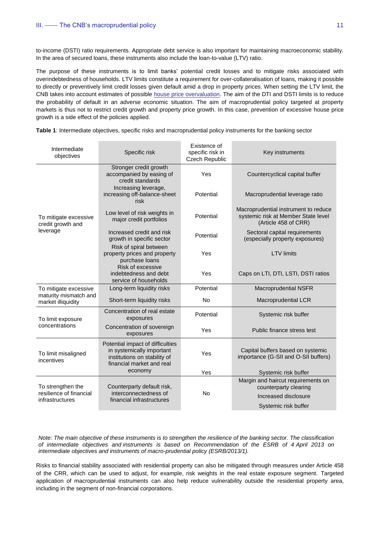to-income (DSTI) ratio requirements. Appropriate debt service is also important for maintaining macroeconomic stability. In the area of secured loans, these instruments also include the loan-to-value (LTV) ratio.

The purpose of these instruments is to limit banks' potential credit losses and to mitigate risks associated with overindebtedness of households. LTV limits constitute a requirement for over-collateralisation of loans, making it possible to directly or preventively limit credit losses given default amid a drop in property prices. When setting the LTV limit, the CNB takes into account estimates of possible [house price overvaluation.](https://www.cnb.cz/en/financial-stability/thematic-articles-on-financial-stability/Assessing-house-price-sustainability/) The aim of the DTI and DSTI limits is to reduce the probability of default in an adverse economic situation. The aim of macroprudential policy targeted at property markets is thus not to restrict credit growth and property price growth. In this case, prevention of excessive house price growth is a side effect of the policies applied.

| Intermediate<br>objectives                  | Specific risk                                                                                                                         | Existence of<br>specific risk in<br>Czech Republic | Key instruments                                                                                     |
|---------------------------------------------|---------------------------------------------------------------------------------------------------------------------------------------|----------------------------------------------------|-----------------------------------------------------------------------------------------------------|
|                                             | Stronger credit growth<br>accompanied by easing of<br>credit standards                                                                | Yes                                                | Countercyclical capital buffer                                                                      |
|                                             | Increasing leverage,<br>increasing off-balance-sheet<br>risk                                                                          | Potential                                          | Macroprudential leverage ratio                                                                      |
| To mitigate excessive<br>credit growth and  | Low level of risk weights in<br>major credit portfolios                                                                               | Potential                                          | Macroprudential instrument to reduce<br>systemic risk at Member State level<br>(Article 458 of CRR) |
| leverage                                    | Increased credit and risk<br>growth in specific sector                                                                                | Potential                                          | Sectoral capital requirements<br>(especially property exposures)                                    |
|                                             | Risk of spiral between<br>property prices and property<br>purchase loans                                                              | Yes                                                | <b>LTV</b> limits                                                                                   |
|                                             | Risk of excessive<br>indebtedness and debt<br>service of households                                                                   | Yes                                                | Caps on LTI, DTI, LSTI, DSTI ratios                                                                 |
| To mitigate excessive                       | Long-term liquidity risks                                                                                                             | Potential                                          | <b>Macroprudential NSFR</b>                                                                         |
| maturity mismatch and<br>market illiquidity | Short-term liquidity risks                                                                                                            | <b>No</b>                                          | Macroprudential LCR                                                                                 |
| To limit exposure                           | Concentration of real estate<br>exposures                                                                                             | Potential                                          | Systemic risk buffer                                                                                |
| concentrations                              | Concentration of sovereign<br>exposures                                                                                               | Yes                                                | Public finance stress test                                                                          |
| To limit misaligned<br>incentives           | Potential impact of difficulties<br>in systemically important<br>institutions on stability of<br>financial market and real<br>economy | Yes                                                | Capital buffers based on systemic<br>importance (G-SII and O-SII buffers)                           |
|                                             |                                                                                                                                       | Yes                                                | Systemic risk buffer                                                                                |
| To strengthen the                           | Counterparty default risk,<br>interconnectedness of<br>financial infrastructures                                                      | <b>No</b>                                          | Margin and haircut requirements on<br>counterparty clearing                                         |
| resilience of financial<br>infrastructures  |                                                                                                                                       |                                                    | Increased disclosure                                                                                |
|                                             |                                                                                                                                       |                                                    | Systemic risk buffer                                                                                |

**Table 1**: Intermediate objectives, specific risks and macroprudential policy instruments for the banking sector

*Note: The main objective of these instruments is to strengthen the resilience of the banking sector. The classification of intermediate objectives and instruments is based on Recommendation of the ESRB of 4 April 2013 on intermediate objectives and instruments of macro-prudential policy (ESRB/2013/1).*

Risks to financial stability associated with residential property can also be mitigated through measures under Article 458 of the CRR, which can be used to adjust, for example, risk weights in the real estate exposure segment. Targeted application of macroprudential instruments can also help reduce vulnerability outside the residential property area, including in the segment of non-financial corporations.